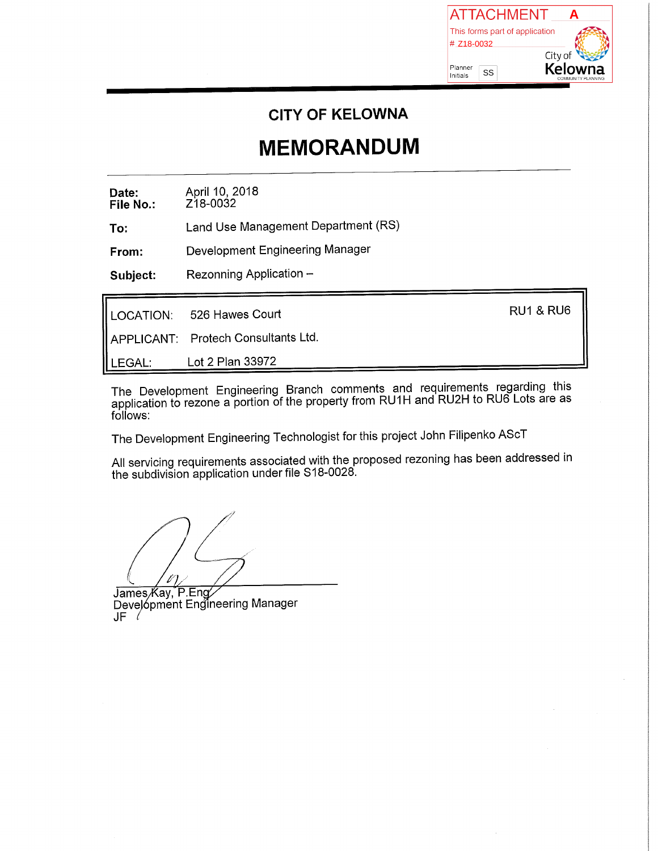

**CITY OF KELOWNA** 

## **MEMORANDUM**

April 10, 2018<br>Z18-0032 Date: File No.:

Land Use Management Department (RS) To:

Development Engineering Manager From:

Rezonning Application -Subject:

|          | LOCATION: 526 Hawes Court           | <b>RU1 &amp; RU6</b> |
|----------|-------------------------------------|----------------------|
|          | APPLICANT: Protech Consultants Ltd. |                      |
| l LEGAL∶ | Lot 2 Plan 33972                    |                      |

The Development Engineering Branch comments and requirements regarding this application to rezone a portion of the property from RU1H and RU2H to RU6 Lots are as follows:

The Development Engineering Technologist for this project John Filipenko AScT

All servicing requirements associated with the proposed rezoning has been addressed in the subdivision application under file S18-0028.

James Kay, P.Eng/<br>Development Engineering Manager  $JF \ell$